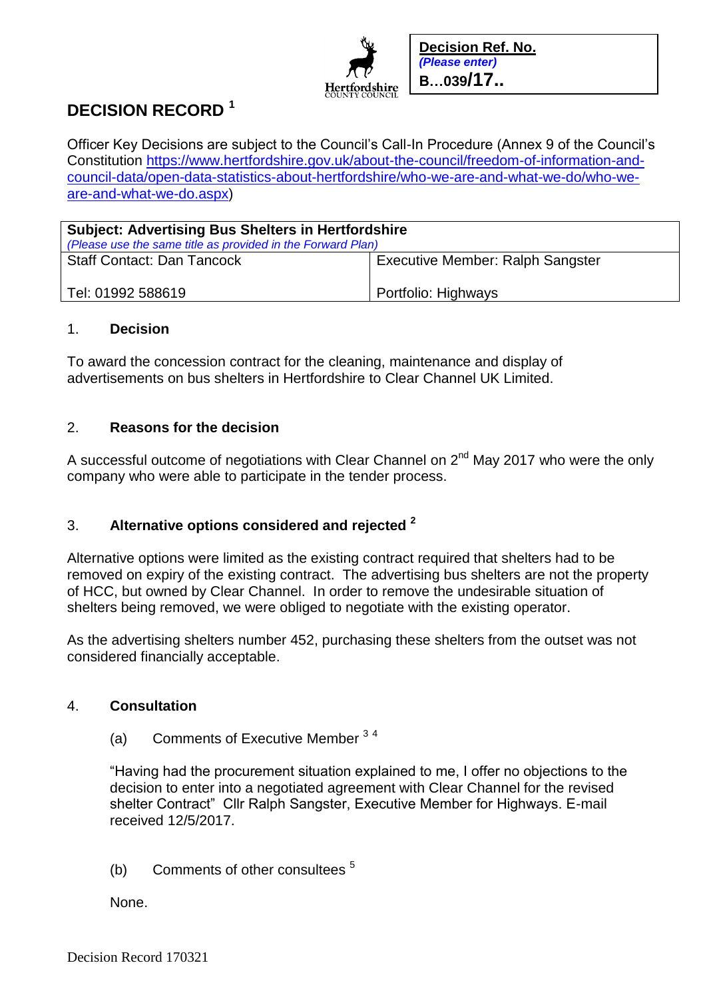

# **DECISION RECORD <sup>1</sup>**

Officer Key Decisions are subject to the Council's Call-In Procedure (Annex 9 of the Council's Constitution [https://www.hertfordshire.gov.uk/about-the-council/freedom-of-information-and](https://www.hertfordshire.gov.uk/about-the-council/freedom-of-information-and-council-data/open-data-statistics-about-hertfordshire/who-we-are-and-what-we-do/who-we-are-and-what-we-do.aspx)[council-data/open-data-statistics-about-hertfordshire/who-we-are-and-what-we-do/who-we](https://www.hertfordshire.gov.uk/about-the-council/freedom-of-information-and-council-data/open-data-statistics-about-hertfordshire/who-we-are-and-what-we-do/who-we-are-and-what-we-do.aspx)[are-and-what-we-do.aspx\)](https://www.hertfordshire.gov.uk/about-the-council/freedom-of-information-and-council-data/open-data-statistics-about-hertfordshire/who-we-are-and-what-we-do/who-we-are-and-what-we-do.aspx)

| <b>Subject: Advertising Bus Shelters in Hertfordshire</b><br>(Please use the same title as provided in the Forward Plan) |                                         |
|--------------------------------------------------------------------------------------------------------------------------|-----------------------------------------|
| <b>Staff Contact: Dan Tancock</b>                                                                                        | <b>Executive Member: Ralph Sangster</b> |
| Tel: 01992 588619                                                                                                        | Portfolio: Highways                     |

#### 1. **Decision**

To award the concession contract for the cleaning, maintenance and display of advertisements on bus shelters in Hertfordshire to Clear Channel UK Limited.

## 2. **Reasons for the decision**

A successful outcome of negotiations with Clear Channel on  $2^{nd}$  May 2017 who were the only company who were able to participate in the tender process.

# 3. **Alternative options considered and rejected <sup>2</sup>**

Alternative options were limited as the existing contract required that shelters had to be removed on expiry of the existing contract. The advertising bus shelters are not the property of HCC, but owned by Clear Channel. In order to remove the undesirable situation of shelters being removed, we were obliged to negotiate with the existing operator.

As the advertising shelters number 452, purchasing these shelters from the outset was not considered financially acceptable.

## 4. **Consultation**

## (a) Comments of Executive Member <sup>3</sup> <sup>4</sup>

"Having had the procurement situation explained to me, I offer no objections to the decision to enter into a negotiated agreement with Clear Channel for the revised shelter Contract" Cllr Ralph Sangster, Executive Member for Highways. E-mail received 12/5/2017.

(b) Comments of other consultees <sup>5</sup>

None.